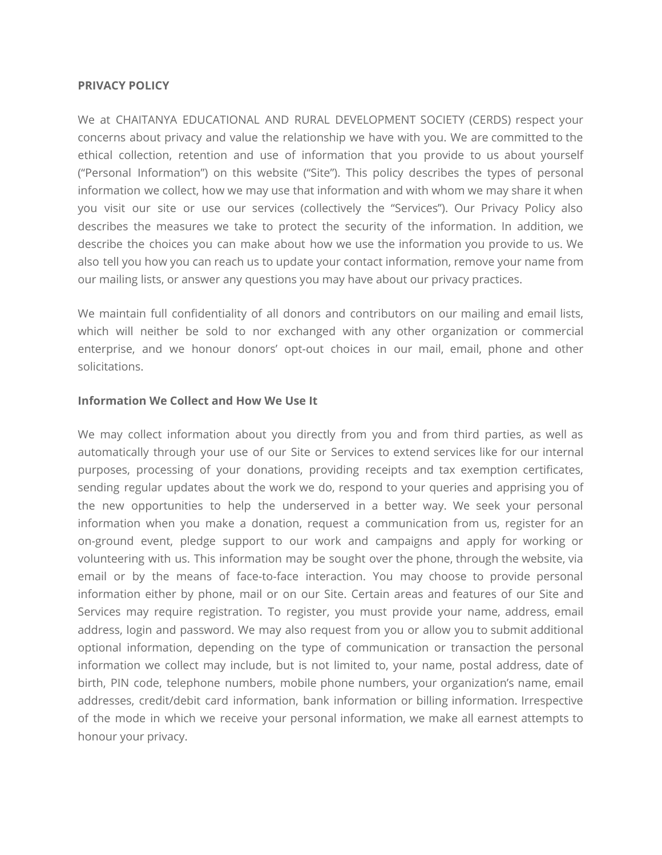#### **PRIVACY POLICY**

We at CHAITANYA EDUCATIONAL AND RURAL DEVELOPMENT SOCIETY (CERDS) respect your concerns about privacy and value the relationship we have with you. We are committed to the ethical collection, retention and use of information that you provide to us about yourself ("Personal Information") on this website ("Site"). This policy describes the types of personal information we collect, how we may use that information and with whom we may share it when you visit our site or use our services (collectively the "Services"). Our Privacy Policy also describes the measures we take to protect the security of the information. In addition, we describe the choices you can make about how we use the information you provide to us. We also tell you how you can reach us to update your contact information, remove your name from our mailing lists, or answer any questions you may have about our privacy practices.

We maintain full confidentiality of all donors and contributors on our mailing and email lists, which will neither be sold to nor exchanged with any other organization or commercial enterprise, and we honour donors' opt-out choices in our mail, email, phone and other solicitations.

#### **Information We Collect and How We Use It**

We may collect information about you directly from you and from third parties, as well as automatically through your use of our Site or Services to extend services like for our internal purposes, processing of your donations, providing receipts and tax exemption certificates, sending regular updates about the work we do, respond to your queries and apprising you of the new opportunities to help the underserved in a better way. We seek your personal information when you make a donation, request a communication from us, register for an on-ground event, pledge support to our work and campaigns and apply for working or volunteering with us. This information may be sought over the phone, through the website, via email or by the means of face-to-face interaction. You may choose to provide personal information either by phone, mail or on our Site. Certain areas and features of our Site and Services may require registration. To register, you must provide your name, address, email address, login and password. We may also request from you or allow you to submit additional optional information, depending on the type of communication or transaction the personal information we collect may include, but is not limited to, your name, postal address, date of birth, PIN code, telephone numbers, mobile phone numbers, your organization's name, email addresses, credit/debit card information, bank information or billing information. Irrespective of the mode in which we receive your personal information, we make all earnest attempts to honour your privacy.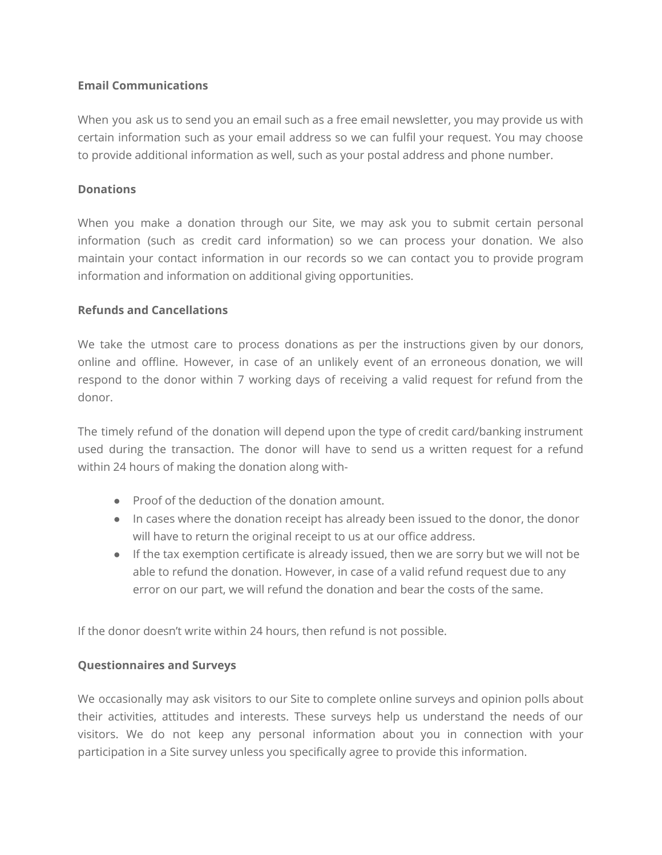## **Email Communications**

When you ask us to send you an email such as a free email newsletter, you may provide us with certain information such as your email address so we can fulfil your request. You may choose to provide additional information as well, such as your postal address and phone number.

### **Donations**

When you make a donation through our Site, we may ask you to submit certain personal information (such as credit card information) so we can process your donation. We also maintain your contact information in our records so we can contact you to provide program information and information on additional giving opportunities.

### **Refunds and Cancellations**

We take the utmost care to process donations as per the instructions given by our donors, online and offline. However, in case of an unlikely event of an erroneous donation, we will respond to the donor within 7 working days of receiving a valid request for refund from the donor.

The timely refund of the donation will depend upon the type of credit card/banking instrument used during the transaction. The donor will have to send us a written request for a refund within 24 hours of making the donation along with-

- Proof of the deduction of the donation amount.
- In cases where the donation receipt has already been issued to the donor, the donor will have to return the original receipt to us at our office address.
- If the tax exemption certificate is already issued, then we are sorry but we will not be able to refund the donation. However, in case of a valid refund request due to any error on our part, we will refund the donation and bear the costs of the same.

If the donor doesn't write within 24 hours, then refund is not possible.

## **Questionnaires and Surveys**

We occasionally may ask visitors to our Site to complete online surveys and opinion polls about their activities, attitudes and interests. These surveys help us understand the needs of our visitors. We do not keep any personal information about you in connection with your participation in a Site survey unless you specifically agree to provide this information.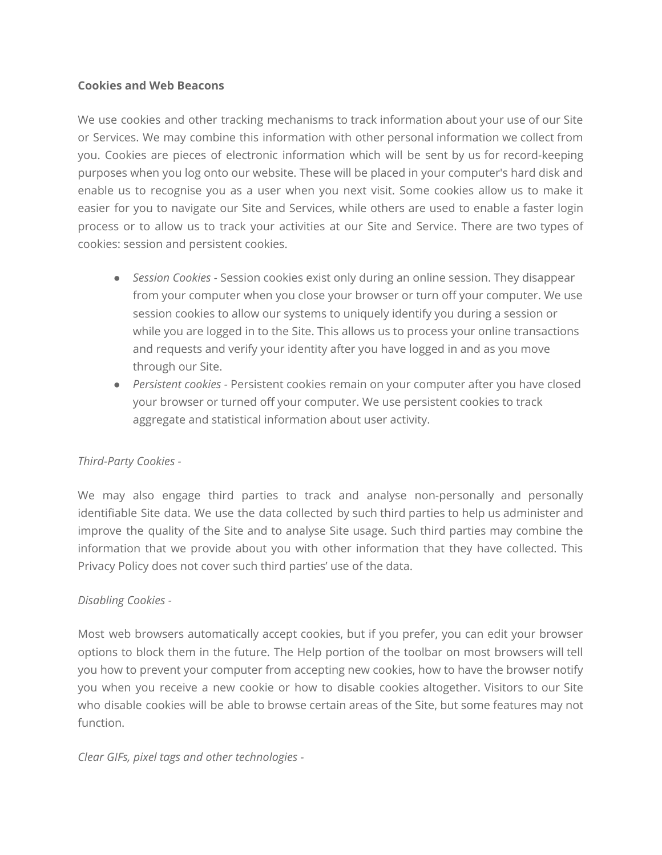### **Cookies and Web Beacons**

We use cookies and other tracking mechanisms to track information about your use of our Site or Services. We may combine this information with other personal information we collect from you. Cookies are pieces of electronic information which will be sent by us for record-keeping purposes when you log onto our website. These will be placed in your computer's hard disk and enable us to recognise you as a user when you next visit. Some cookies allow us to make it easier for you to navigate our Site and Services, while others are used to enable a faster login process or to allow us to track your activities at our Site and Service. There are two types of cookies: session and persistent cookies.

- *Session Cookies -* Session cookies exist only during an online session. They disappear from your computer when you close your browser or turn off your computer. We use session cookies to allow our systems to uniquely identify you during a session or while you are logged in to the Site. This allows us to process your online transactions and requests and verify your identity after you have logged in and as you move through our Site.
- *Persistent cookies -* Persistent cookies remain on your computer after you have closed your browser or turned off your computer. We use persistent cookies to track aggregate and statistical information about user activity.

## *Third-Party Cookies -*

We may also engage third parties to track and analyse non-personally and personally identifiable Site data. We use the data collected by such third parties to help us administer and improve the quality of the Site and to analyse Site usage. Such third parties may combine the information that we provide about you with other information that they have collected. This Privacy Policy does not cover such third parties' use of the data.

#### *Disabling Cookies -*

Most web browsers automatically accept cookies, but if you prefer, you can edit your browser options to block them in the future. The Help portion of the toolbar on most browsers will tell you how to prevent your computer from accepting new cookies, how to have the browser notify you when you receive a new cookie or how to disable cookies altogether. Visitors to our Site who disable cookies will be able to browse certain areas of the Site, but some features may not function.

*Clear GIFs, pixel tags and other technologies -*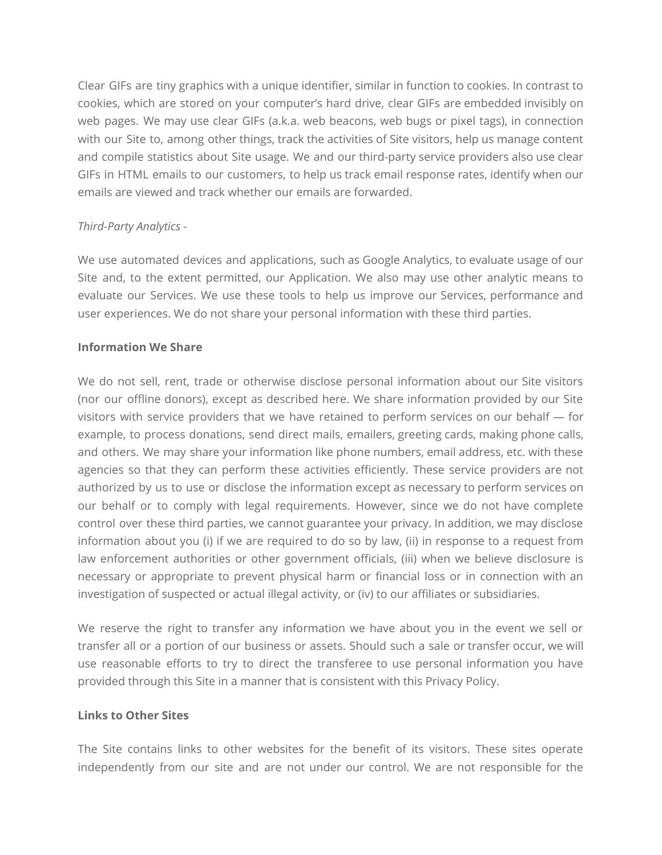Clear GIFs are tiny graphics with a unique identifier, similar in function to cookies. In contrast to cookies, which are stored on your computer's hard drive, clear GIFs are embedded invisibly on web pages. We may use clear GIFs (a.k.a. web beacons, web bugs or pixel tags), in connection with our Site to, among other things, track the activities of Site visitors, help us manage content and compile statistics about Site usage. We and our third-party service providers also use clear GIFs in HTML emails to our customers, to help us track email response rates, identify when our emails are viewed and track whether our emails are forwarded.

### *Third-Party Analytics -*

We use automated devices and applications, such as Google Analytics, to evaluate usage of our Site and, to the extent permitted, our Application. We also may use other analytic means to evaluate our Services. We use these tools to help us improve our Services, performance and user experiences. We do not share your personal information with these third parties.

### **Information We Share**

We do not sell, rent, trade or otherwise disclose personal information about our Site visitors (nor our offline donors), except as described here. We share information provided by our Site visitors with service providers that we have retained to perform services on our behalf ― for example, to process donations, send direct mails, emailers, greeting cards, making phone calls, and others. We may share your information like phone numbers, email address, etc. with these agencies so that they can perform these activities efficiently. These service providers are not authorized by us to use or disclose the information except as necessary to perform services on our behalf or to comply with legal requirements. However, since we do not have complete control over these third parties, we cannot guarantee your privacy. In addition, we may disclose information about you (i) if we are required to do so by law, (ii) in response to a request from law enforcement authorities or other government officials, (iii) when we believe disclosure is necessary or appropriate to prevent physical harm or financial loss or in connection with an investigation of suspected or actual illegal activity, or (iv) to our affiliates or subsidiaries.

We reserve the right to transfer any information we have about you in the event we sell or transfer all or a portion of our business or assets. Should such a sale or transfer occur, we will use reasonable efforts to try to direct the transferee to use personal information you have provided through this Site in a manner that is consistent with this Privacy Policy.

#### **Links to Other Sites**

The Site contains links to other websites for the benefit of its visitors. These sites operate independently from our site and are not under our control. We are not responsible for the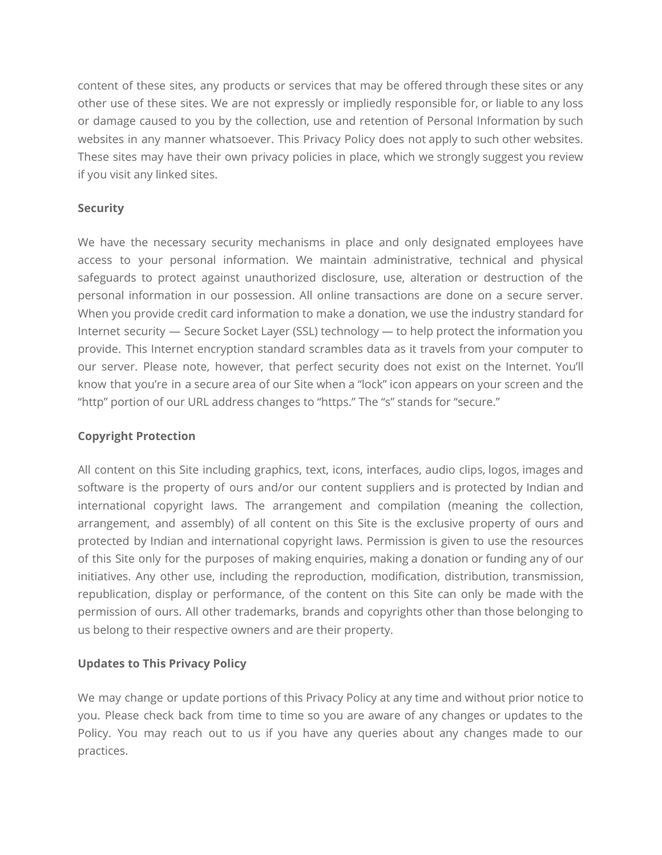content of these sites, any products or services that may be offered through these sites or any other use of these sites. We are not expressly or impliedly responsible for, or liable to any loss or damage caused to you by the collection, use and retention of Personal Information by such websites in any manner whatsoever. This Privacy Policy does not apply to such other websites. These sites may have their own privacy policies in place, which we strongly suggest you review if you visit any linked sites.

### **Security**

We have the necessary security mechanisms in place and only designated employees have access to your personal information. We maintain administrative, technical and physical safeguards to protect against unauthorized disclosure, use, alteration or destruction of the personal information in our possession. All online transactions are done on a secure server. When you provide credit card information to make a donation, we use the industry standard for Internet security ― Secure Socket Layer (SSL) technology ― to help protect the information you provide. This Internet encryption standard scrambles data as it travels from your computer to our server. Please note, however, that perfect security does not exist on the Internet. You'll know that you're in a secure area of our Site when a "lock" icon appears on your screen and the "http" portion of our URL address changes to "https." The "s" stands for "secure."

## **Copyright Protection**

All content on this Site including graphics, text, icons, interfaces, audio clips, logos, images and software is the property of ours and/or our content suppliers and is protected by Indian and international copyright laws. The arrangement and compilation (meaning the collection, arrangement, and assembly) of all content on this Site is the exclusive property of ours and protected by Indian and international copyright laws. Permission is given to use the resources of this Site only for the purposes of making enquiries, making a donation or funding any of our initiatives. Any other use, including the reproduction, modification, distribution, transmission, republication, display or performance, of the content on this Site can only be made with the permission of ours. All other trademarks, brands and copyrights other than those belonging to us belong to their respective owners and are their property.

## **Updates to This Privacy Policy**

We may change or update portions of this Privacy Policy at any time and without prior notice to you. Please check back from time to time so you are aware of any changes or updates to the Policy. You may reach out to us if you have any queries about any changes made to our practices.